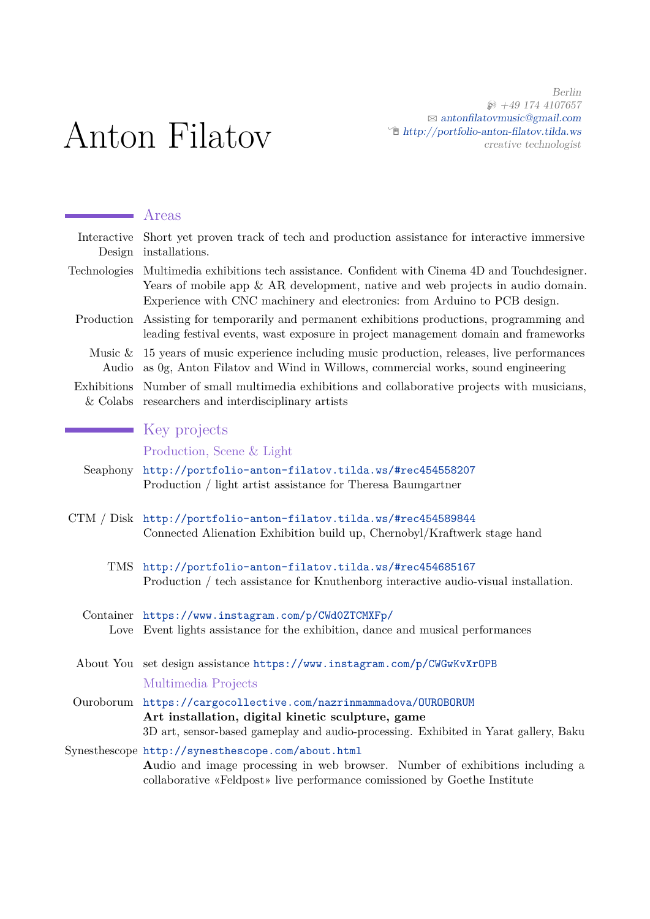Berlin  $\circledast$  +49 174 4107657  $\boxtimes$ [antonfilatovmusic@gmail.com](mailto:antonfilatovmusic@gmail.com)  $\hat{\Xi}$ [http://portfolio-anton-filatov.tilda.ws](http://http://portfolio-anton-filatov.tilda.ws) creative technologist

# Anton Filatov

|                           | Areas                                                                                                                                                                                                                                                  |
|---------------------------|--------------------------------------------------------------------------------------------------------------------------------------------------------------------------------------------------------------------------------------------------------|
| Interactive<br>Design     | Short yet proven track of tech and production assistance for interactive immersive<br>installations.                                                                                                                                                   |
| Technologies              | Multimedia exhibitions tech assistance. Confident with Cinema 4D and Touchdesigner.<br>Years of mobile app $\&$ AR development, native and web projects in audio domain.<br>Experience with CNC machinery and electronics: from Arduino to PCB design. |
| Production                | Assisting for temporarily and permanent exhibitions productions, programming and<br>leading festival events, wast exposure in project management domain and frameworks                                                                                 |
| Music $\&$<br>Audio       | 15 years of music experience including music production, releases, live performances<br>as 0g, Anton Filatov and Wind in Willows, commercial works, sound engineering                                                                                  |
| Exhibitions<br>$&$ Colabs | Number of small multimedia exhibitions and collaborative projects with musicians,<br>researchers and interdisciplinary artists                                                                                                                         |
|                           | Key projects                                                                                                                                                                                                                                           |
|                           | Production, Scene & Light                                                                                                                                                                                                                              |
| Seaphony                  | http://portfolio-anton-filatov.tilda.ws/#rec454558207<br>Production / light artist assistance for Theresa Baumgartner                                                                                                                                  |
|                           | CTM / Disk http://portfolio-anton-filatov.tilda.ws/#rec454589844<br>Connected Alienation Exhibition build up, Chernobyl/Kraftwerk stage hand                                                                                                           |
| TMS                       | http://portfolio-anton-filatov.tilda.ws/#rec454685167<br>Production / tech assistance for Knuthenborg interactive audio-visual installation.                                                                                                           |
| Container<br>Love         | https://www.instagram.com/p/CWd0ZTCMXFp/<br>Event lights assistance for the exhibition, dance and musical performances                                                                                                                                 |
|                           | About You set design assistance https://www.instagram.com/p/CWGwKvXrOPB                                                                                                                                                                                |
|                           | Multimedia Projects                                                                                                                                                                                                                                    |
|                           | Ouroborum https://cargocollective.com/nazrinmammadova/OUROBORUM<br>Art installation, digital kinetic sculpture, game<br>3D art, sensor-based gameplay and audio-processing. Exhibited in Yarat gallery, Baku                                           |
|                           | Synesthescope http://synesthescope.com/about.html<br>Audio and image processing in web browser. Number of exhibitions including a<br>collaborative «Feldpost» live performance comissioned by Goethe Institute                                         |